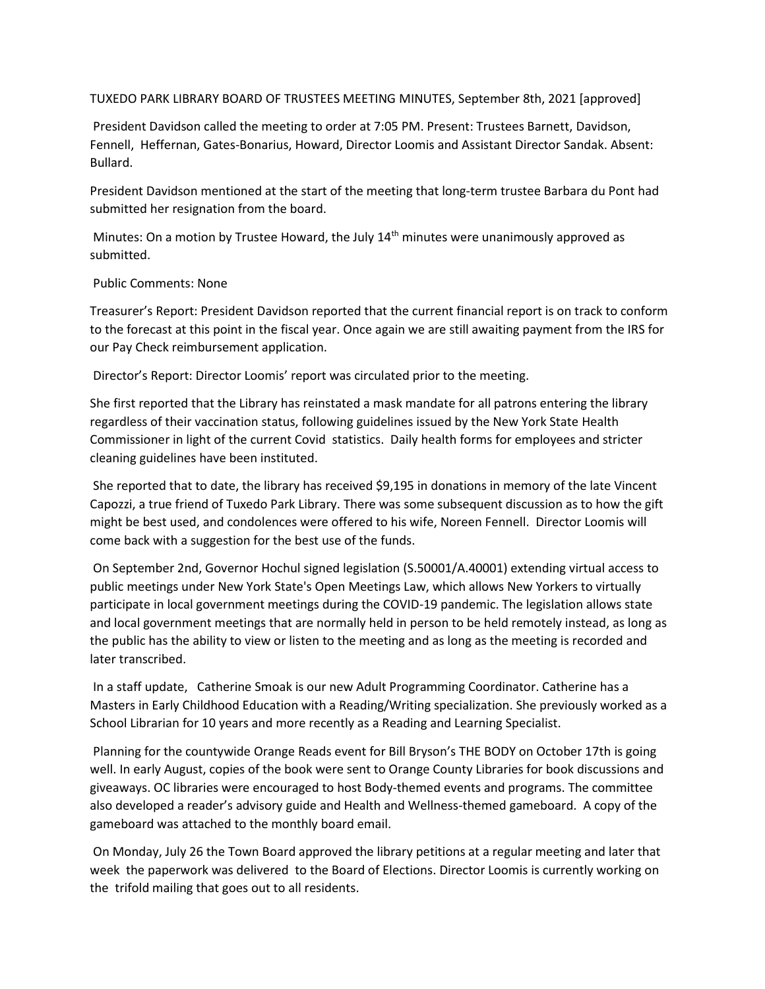## TUXEDO PARK LIBRARY BOARD OF TRUSTEES MEETING MINUTES, September 8th, 2021 [approved]

President Davidson called the meeting to order at 7:05 PM. Present: Trustees Barnett, Davidson, Fennell, Heffernan, Gates-Bonarius, Howard, Director Loomis and Assistant Director Sandak. Absent: Bullard.

President Davidson mentioned at the start of the meeting that long-term trustee Barbara du Pont had submitted her resignation from the board.

Minutes: On a motion by Trustee Howard, the July 14<sup>th</sup> minutes were unanimously approved as submitted.

## Public Comments: None

Treasurer's Report: President Davidson reported that the current financial report is on track to conform to the forecast at this point in the fiscal year. Once again we are still awaiting payment from the IRS for our Pay Check reimbursement application.

Director's Report: Director Loomis' report was circulated prior to the meeting.

She first reported that the Library has reinstated a mask mandate for all patrons entering the library regardless of their vaccination status, following guidelines issued by the New York State Health Commissioner in light of the current Covid statistics. Daily health forms for employees and stricter cleaning guidelines have been instituted.

She reported that to date, the library has received \$9,195 in donations in memory of the late Vincent Capozzi, a true friend of Tuxedo Park Library. There was some subsequent discussion as to how the gift might be best used, and condolences were offered to his wife, Noreen Fennell. Director Loomis will come back with a suggestion for the best use of the funds.

On September 2nd, Governor Hochul signed legislation (S.50001/A.40001) extending virtual access to public meetings under New York State's Open Meetings Law, which allows New Yorkers to virtually participate in local government meetings during the COVID-19 pandemic. The legislation allows state and local government meetings that are normally held in person to be held remotely instead, as long as the public has the ability to view or listen to the meeting and as long as the meeting is recorded and later transcribed.

In a staff update, Catherine Smoak is our new Adult Programming Coordinator. Catherine has a Masters in Early Childhood Education with a Reading/Writing specialization. She previously worked as a School Librarian for 10 years and more recently as a Reading and Learning Specialist.

Planning for the countywide Orange Reads event for Bill Bryson's THE BODY on October 17th is going well. In early August, copies of the book were sent to Orange County Libraries for book discussions and giveaways. OC libraries were encouraged to host Body-themed events and programs. The committee also developed a reader's advisory guide and Health and Wellness-themed gameboard. A copy of the gameboard was attached to the monthly board email.

On Monday, July 26 the Town Board approved the library petitions at a regular meeting and later that week the paperwork was delivered to the Board of Elections. Director Loomis is currently working on the trifold mailing that goes out to all residents.